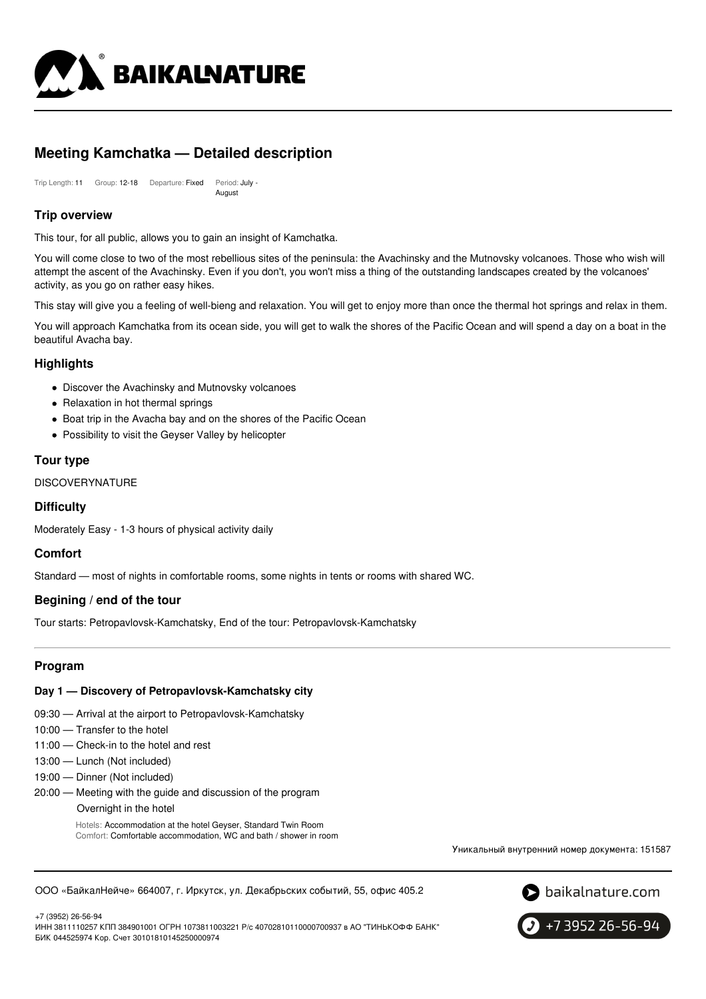

# **Meeting Kamchatka — Detailed description**

Trip Length: 11 Group: 12-18 Departure: Fixed Period: July - August

# **Trip overview**

This tour, for all public, allows you to gain an insight of Kamchatka.

You will come close to two of the most rebellious sites of the peninsula: the Avachinsky and the Mutnovsky volcanoes. Those who wish will attempt the ascent of the Avachinsky. Even if you don't, you won't miss a thing of the outstanding landscapes created by the volcanoes' activity, as you go on rather easy hikes.

This stay will give you a feeling of well-bieng and relaxation. You will get to enjoy more than once the thermal hot springs and relax in them.

You will approach Kamchatka from its ocean side, you will get to walk the shores of the Pacific Ocean and will spend a day on a boat in the beautiful Avacha bay.

# **Highlights**

- Discover the Avachinsky and Mutnovsky volcanoes
- Relaxation in hot thermal springs
- Boat trip in the Avacha bay and on the shores of the Pacific Ocean
- Possibility to visit the Geyser Valley by helicopter

# **Tour type**

#### DISCOVERYNATURE

# **Difficulty**

Moderately Easy - 1-3 hours of physical activity daily

# **Comfort**

Standard — most of nights in comfortable rooms, some nights in tents or rooms with shared WC.

# **Begining / end of the tour**

Tour starts: Petropavlovsk-Kamchatsky, End of the tour: Petropavlovsk-Kamchatsky

# **Program**

#### **Day 1 — Discovery of Petropavlovsk-Kamchatsky city**

- 09:30 Arrival at the airport to Petropavlovsk-Kamchatsky
- 10:00 Transfer to the hotel
- 11:00 Check-in to the hotel and rest
- 13:00 Lunch (Not included)
- 19:00 Dinner (Not included)
- 20:00 Meeting with the guide and discussion of the program
	- Overnight in the hotel

Hotels: Accommodation at the hotel Geyser, Standard Twin Room Comfort: Comfortable accommodation, WC and bath / shower in room

Уникальный внутренний номер документа: 151587

ООО «БайкалНейче» 664007, г. Иркутск, ул. Декабрьских событий, 55, офис 405.2



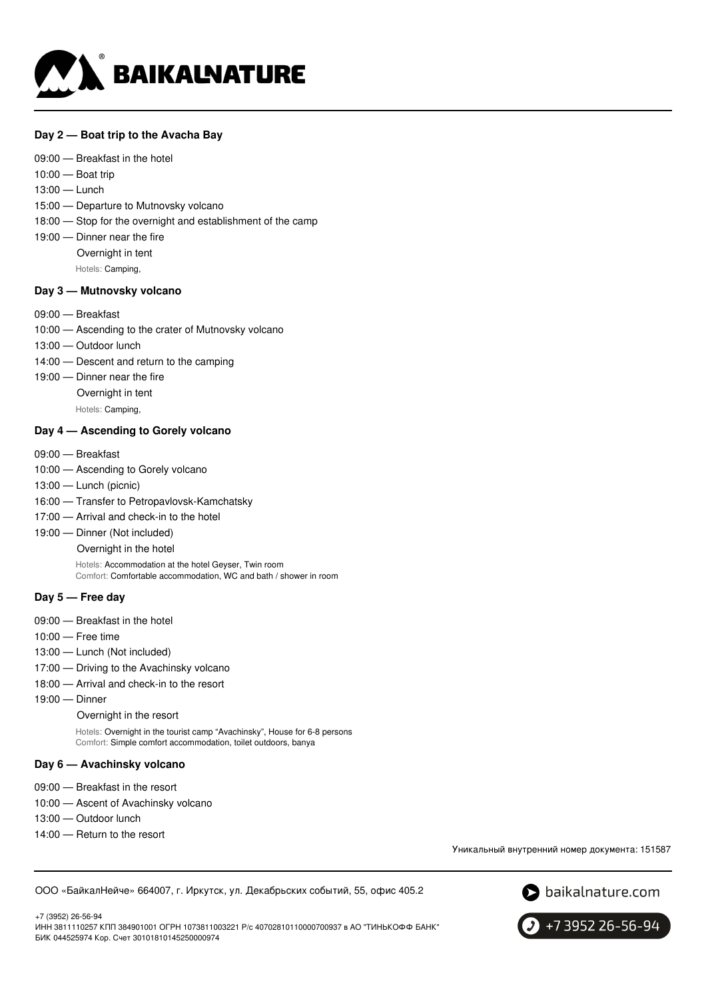

## **Day 2 — Boat trip to the Avacha Bay**

- 09:00 Breakfast in the hotel
- 10:00 Boat trip
- 13:00 Lunch
- 15:00 Departure to Mutnovsky volcano
- 18:00 Stop for the overnight and establishment of the camp
- 19:00 Dinner near the fire
	- Overnight in tent

Hotels: Camping,

# **Day 3 — Mutnovsky volcano**

- 09:00 Breakfast
- 10:00 Ascending to the crater of Mutnovsky volcano
- 13:00 Outdoor lunch
- 14:00 Descent and return to the camping
- 19:00 Dinner near the fire
	- Overnight in tent

Hotels: Camping,

## **Day 4 — Ascending to Gorely volcano**

- 09:00 Breakfast
- 10:00 Ascending to Gorely volcano
- 13:00 Lunch (picnic)
- 16:00 Transfer to Petropavlovsk-Kamchatsky
- 17:00 Arrival and check-in to the hotel
- 19:00 Dinner (Not included)

Overnight in the hotel

Hotels: Accommodation at the hotel Geyser, Twin room Comfort: Comfortable accommodation, WC and bath / shower in room

#### **Day 5 — Free day**

- 09:00 Breakfast in the hotel
- 10:00 Free time
- 13:00 Lunch (Not included)
- 17:00 Driving to the Avachinsky volcano
- 18:00 Arrival and check-in to the resort
- 19:00 Dinner

Overnight in the resort

Hotels: Overnight in the tourist camp "Avachinsky", House for 6-8 persons Comfort: Simple comfort accommodation, toilet outdoors, banya

#### **Day 6 — Avachinsky volcano**

- 09:00 Breakfast in the resort
- 10:00 Ascent of Avachinsky volcano
- 13:00 Outdoor lunch
- 14:00 Return to the resort

Уникальный внутренний номер документа: 151587

ООО «БайкалНейче» 664007, г. Иркутск, ул. Декабрьских событий, 55, офис 405.2



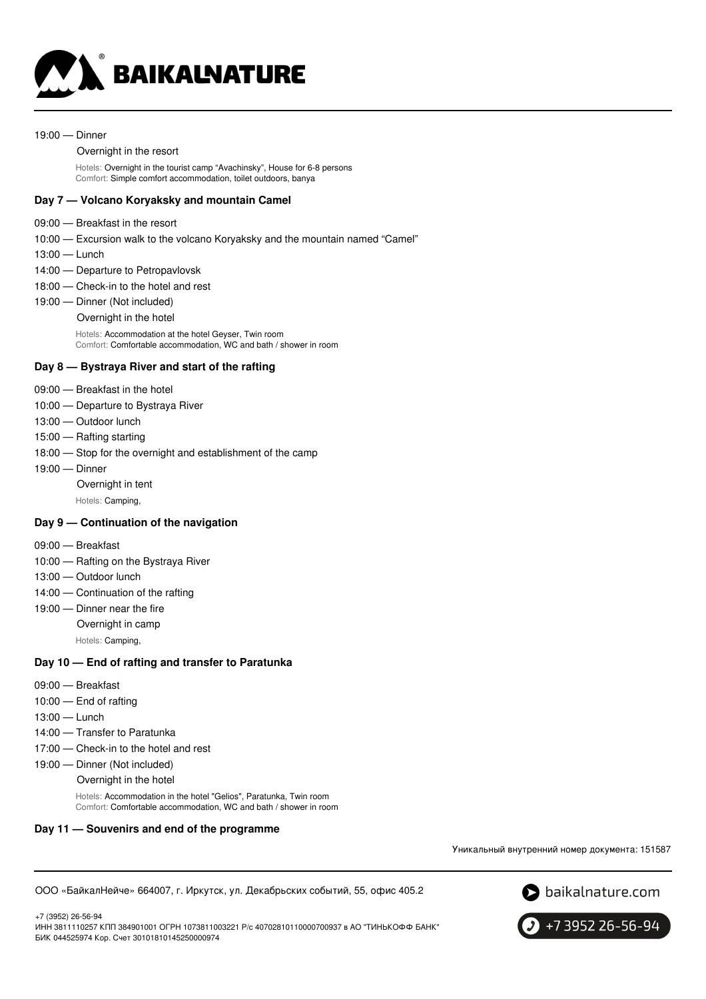

#### 19:00 — Dinner

#### Overnight in the resort

Hotels: Overnight in the tourist camp "Avachinsky", House for 6-8 persons Comfort: Simple comfort accommodation, toilet outdoors, banya

## **Day 7 — Volcano Koryaksky and mountain Camel**

- 09:00 Breakfast in the resort
- 10:00 Excursion walk to the volcano Koryaksky and the mountain named "Camel"
- 13:00 Lunch
- 14:00 Departure to Petropavlovsk
- 18:00 Check-in to the hotel and rest
- 19:00 Dinner (Not included)
	- Overnight in the hotel

Hotels: Accommodation at the hotel Geyser, Twin room Comfort: Comfortable accommodation, WC and bath / shower in room

## **Day 8 — Bystraya River and start of the rafting**

- 09:00 Breakfast in the hotel
- 10:00 Departure to Bystraya River
- 13:00 Outdoor lunch
- 15:00 Rafting starting
- 18:00 Stop for the overnight and establishment of the camp
- 19:00 Dinner
	- Overnight in tent

Hotels: Camping,

#### **Day 9 — Continuation of the navigation**

- 09:00 Breakfast
- 10:00 Rafting on the Bystraya River
- 13:00 Outdoor lunch
- 14:00 Continuation of the rafting
- 19:00 Dinner near the fire
	- Overnight in camp
		- Hotels: Camping,

#### **Day 10 — End of rafting and transfer to Paratunka**

- 09:00 Breakfast
- 10:00 End of rafting
- 13:00 Lunch
- 14:00 Transfer to Paratunka
- 17:00 Check-in to the hotel and rest
- 19:00 Dinner (Not included)
	- Overnight in the hotel

Hotels: Accommodation in the hotel "Gelios", Paratunka, Twin room Comfort: Comfortable accommodation, WC and bath / shower in room

#### **Day 11 — Souvenirs and end of the programme**

Уникальный внутренний номер документа: 151587

ООО «БайкалНейче» 664007, г. Иркутск, ул. Декабрьских событий, 55, офис 405.2



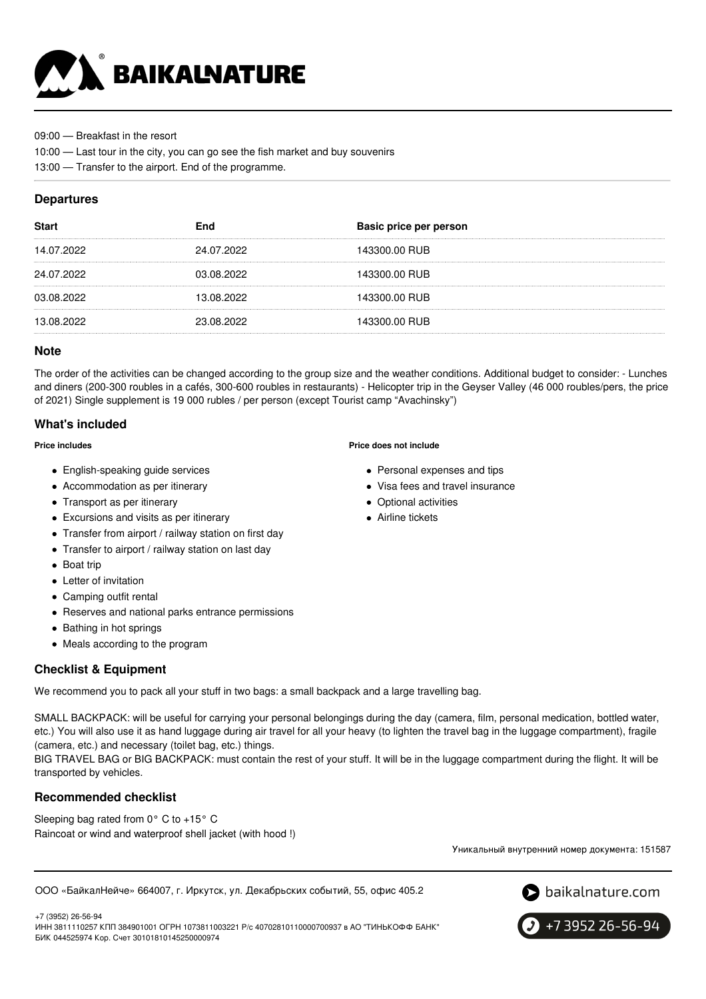

09:00 — Breakfast in the resort

- 10:00 Last tour in the city, you can go see the fish market and buy souvenirs
- 13:00 Transfer to the airport. End of the programme.

# **Departures**

| <b>Start</b> | End        | Basic price per person |
|--------------|------------|------------------------|
| 14.07.2022   | 24.07.2022 | 143300.00 RUB          |
| 24.07.2022   | 03.08.2022 | 143300.00 RUB          |
| 03.08.2022   | 13.08.2022 | 143300.00 RUB          |
| 13.08.2022   | 23.08.2022 | 143300.00 RUB          |

# **Note**

The order of the activities can be changed according to the group size and the weather conditions. Additional budget to consider: - Lunches and diners (200-300 roubles in a cafés, 300-600 roubles in restaurants) - Helicopter trip in the Geyser Valley (46 000 roubles/pers, the price of 2021) Single supplement is 19 000 rubles / per person (except Tourist camp "Avachinsky")

# **What's included**

#### **Price includes**

- English-speaking guide services
- Accommodation as per itinerary
- Transport as per itinerary
- Excursions and visits as per itinerary
- Transfer from airport / railway station on first day
- Transfer to airport / railway station on last day
- Boat trip
- Letter of invitation
- Camping outfit rental
- Reserves and national parks entrance permissions
- Bathing in hot springs
- Meals according to the program

# **Checklist & Equipment**

We recommend you to pack all your stuff in two bags: a small backpack and a large travelling bag.

SMALL BACKPACK: will be useful for carrying your personal belongings during the day (camera, film, personal medication, bottled water, etc.) You will also use it as hand luggage during air travel for all your heavy (to lighten the travel bag in the luggage compartment), fragile (camera, etc.) and necessary (toilet bag, etc.) things.

BIG TRAVEL BAG or BIG BACKPACK: must contain the rest of your stuff. It will be in the luggage compartment during the flight. It will be transported by vehicles.

# **Recommended checklist**

Sleeping bag rated from 0° C to +15° C Raincoat or wind and waterproof shell jacket (with hood !)

Уникальный внутренний номер документа: 151587

ООО «БайкалНейче» 664007, г. Иркутск, ул. Декабрьских событий, 55, офис 405.2



+7 3952 26-56-94

+7 (3952) 26-56-94 ИНН 3811110257 КПП 384901001 ОГРН 1073811003221 Р/с 40702810110000700937 в АО "ТИНЬКОФФ БАНК" БИК 044525974 Кор. Счет 30101810145250000974

#### **Price does not include**

- Personal expenses and tips
- Visa fees and travel insurance
- Optional activities
- Airline tickets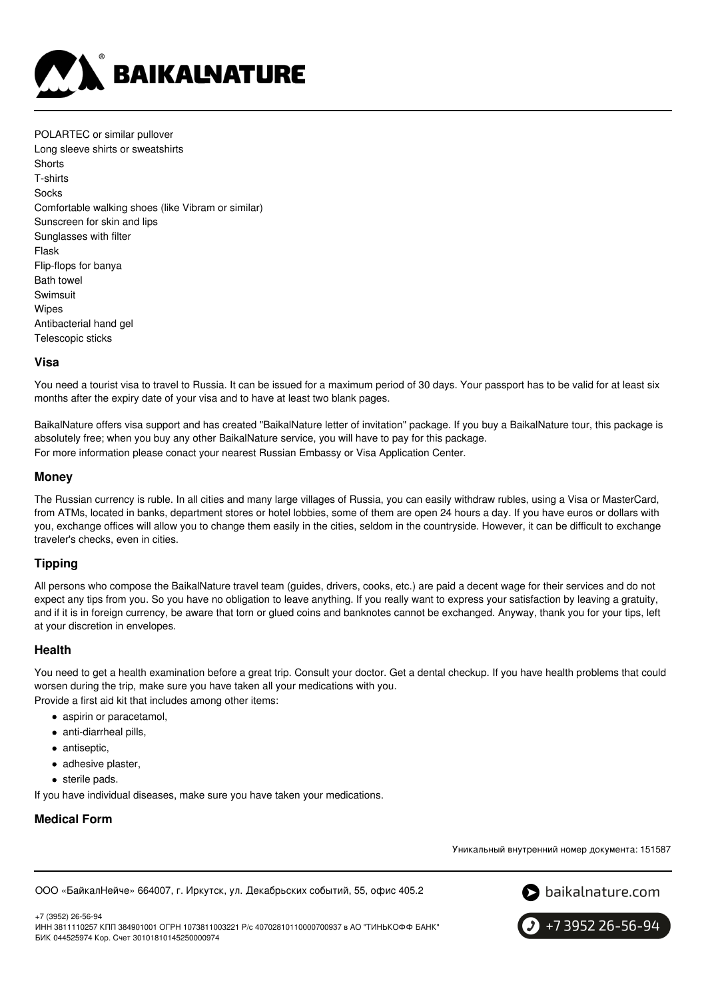

POLARTEC or similar pullover Long sleeve shirts or sweatshirts **Shorts** T-shirts **Socks** Comfortable walking shoes (like Vibram or similar) Sunscreen for skin and lips Sunglasses with filter Flask Flip-flops for banya Bath towel Swimsuit Wipes Antibacterial hand gel Telescopic sticks

## **Visa**

You need a tourist visa to travel to Russia. It can be issued for a maximum period of 30 days. Your passport has to be valid for at least six months after the expiry date of your visa and to have at least two blank pages.

BaikalNature offers visa support and has created "BaikalNature letter of invitation" package. If you buy a BaikalNature tour, this package is absolutely free; when you buy any other BaikalNature service, you will have to pay for this package. For more information please conact your nearest Russian Embassy or Visa Application Center.

## **Money**

The Russian currency is ruble. In all cities and many large villages of Russia, you can easily withdraw rubles, using a Visa or MasterCard, from ATMs, located in banks, department stores or hotel lobbies, some of them are open 24 hours a day. If you have euros or dollars with you, exchange offices will allow you to change them easily in the cities, seldom in the countryside. However, it can be difficult to exchange traveler's checks, even in cities.

# **Tipping**

All persons who compose the BaikalNature travel team (guides, drivers, cooks, etc.) are paid a decent wage for their services and do not expect any tips from you. So you have no obligation to leave anything. If you really want to express your satisfaction by leaving a gratuity, and if it is in foreign currency, be aware that torn or glued coins and banknotes cannot be exchanged. Anyway, thank you for your tips, left at your discretion in envelopes.

#### **Health**

You need to get a health examination before a great trip. Consult your doctor. Get a dental checkup. If you have health problems that could worsen during the trip, make sure you have taken all your medications with you.

Provide a first aid kit that includes among other items:

- aspirin or paracetamol.
- anti-diarrheal pills,
- antiseptic,
- adhesive plaster,
- sterile pads.

If you have individual diseases, make sure you have taken your medications.

# **Medical Form**

Уникальный внутренний номер документа: 151587

ООО «БайкалНейче» 664007, г. Иркутск, ул. Декабрьских событий, 55, офис 405.2